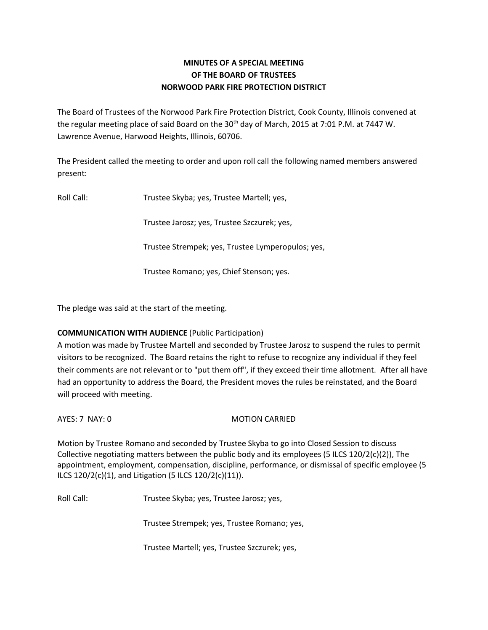## **MINUTES OF A SPECIAL MEETING OF THE BOARD OF TRUSTEES NORWOOD PARK FIRE PROTECTION DISTRICT**

The Board of Trustees of the Norwood Park Fire Protection District, Cook County, Illinois convened at the regular meeting place of said Board on the 30<sup>th</sup> day of March, 2015 at 7:01 P.M. at 7447 W. Lawrence Avenue, Harwood Heights, Illinois, 60706.

The President called the meeting to order and upon roll call the following named members answered present:

Roll Call: Trustee Skyba; yes, Trustee Martell; yes,

Trustee Jarosz; yes, Trustee Szczurek; yes,

Trustee Strempek; yes, Trustee Lymperopulos; yes,

Trustee Romano; yes, Chief Stenson; yes.

The pledge was said at the start of the meeting.

## **COMMUNICATION WITH AUDIENCE** (Public Participation)

A motion was made by Trustee Martell and seconded by Trustee Jarosz to suspend the rules to permit visitors to be recognized. The Board retains the right to refuse to recognize any individual if they feel their comments are not relevant or to "put them off", if they exceed their time allotment. After all have had an opportunity to address the Board, the President moves the rules be reinstated, and the Board will proceed with meeting.

AYES: 7 NAY: 0 MOTION CARRIED

Motion by Trustee Romano and seconded by Trustee Skyba to go into Closed Session to discuss Collective negotiating matters between the public body and its employees (5 ILCS 120/2(c)(2)), The appointment, employment, compensation, discipline, performance, or dismissal of specific employee (5 ILCS 120/2(c)(1), and Litigation (5 ILCS 120/2(c)(11)).

Roll Call: Trustee Skyba; yes, Trustee Jarosz; yes,

Trustee Strempek; yes, Trustee Romano; yes,

Trustee Martell; yes, Trustee Szczurek; yes,